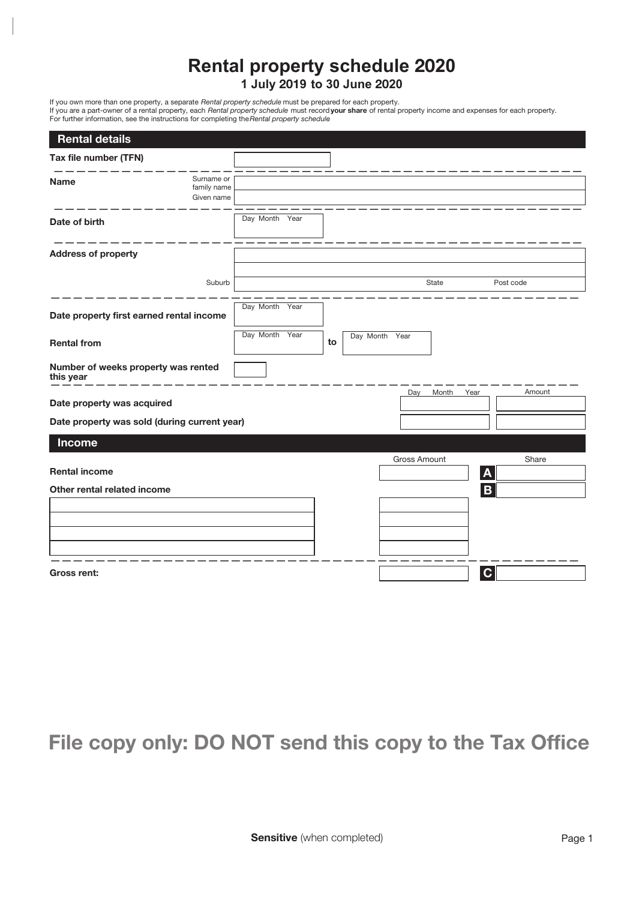## **Rental property schedule 20 1 July 9 to 30 June 20**

If you own more than one property, a separate *Rental property schedule* must be prepared for each property. If you are a part-owner of a rental property, each *Rental property schedule* must record **your share** of rental property income and expenses for each property. For further information, see the instructions for completing the *Rental property schedule*.

| <b>Rental details</b>                            |                                         |                |  |    |                |       |              |           |  |
|--------------------------------------------------|-----------------------------------------|----------------|--|----|----------------|-------|--------------|-----------|--|
| Tax file number (TFN)                            |                                         |                |  |    |                |       |              |           |  |
| <b>Name</b>                                      | Surname or<br>family name<br>Given name |                |  |    |                |       |              |           |  |
| Date of birth                                    |                                         | Day Month Year |  |    |                |       |              |           |  |
| <b>Address of property</b>                       |                                         |                |  |    |                |       |              |           |  |
|                                                  | Suburb                                  |                |  |    |                | State |              | Post code |  |
| Date property first earned rental income         |                                         | Day Month Year |  |    |                |       |              |           |  |
| <b>Rental from</b>                               |                                         | Day Month Year |  | to | Day Month Year |       |              |           |  |
| Number of weeks property was rented<br>this year |                                         |                |  |    |                |       |              |           |  |
| Date property was acquired                       |                                         |                |  |    | Day            | Month | Year         | Amount    |  |
| Date property was sold (during current year)     |                                         |                |  |    |                |       |              |           |  |
| <b>Income</b>                                    |                                         |                |  |    |                |       |              |           |  |
| <b>Rental income</b>                             |                                         |                |  |    | Gross Amount   |       | $\mathbf{A}$ | Share     |  |
| Other rental related income                      |                                         |                |  |    |                |       | B            |           |  |
|                                                  |                                         |                |  |    |                |       |              |           |  |
|                                                  |                                         |                |  |    |                |       |              |           |  |
|                                                  |                                         |                |  |    |                |       |              |           |  |
| Gross rent:                                      |                                         |                |  |    |                |       | $\mathbf{C}$ |           |  |

## **File copy only: DO NOT send this copy to the Tax Office**